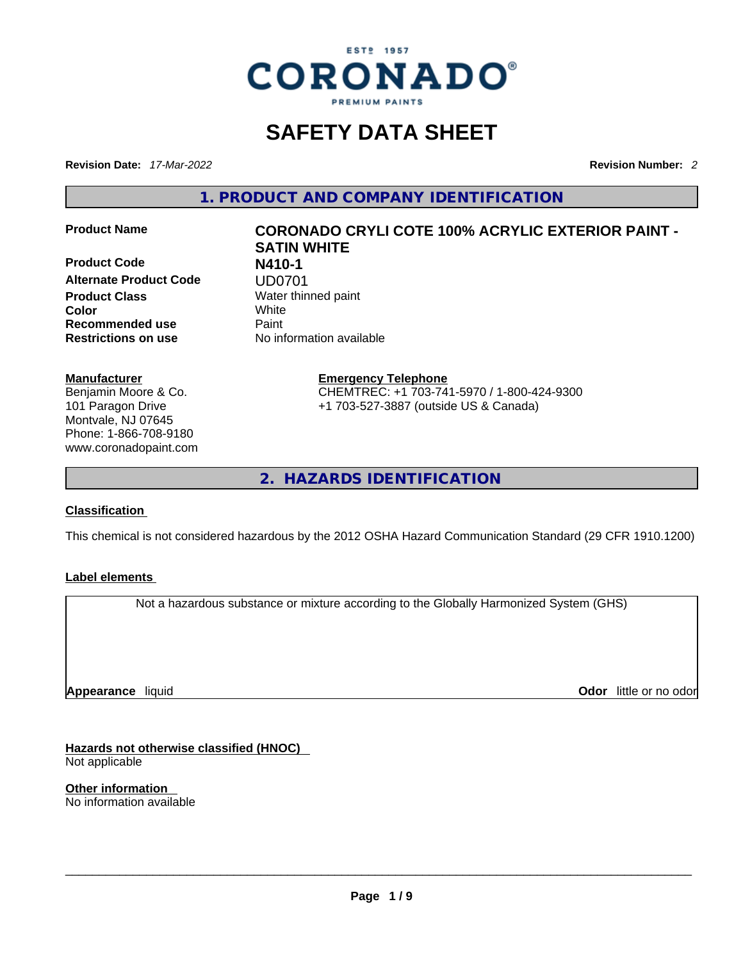

## **SAFETY DATA SHEET**

**Revision Date:** *17-Mar-2022* **Revision Number:** *2*

**1. PRODUCT AND COMPANY IDENTIFICATION** 

**Product Code N410-1 Alternate Product Code UD0701**<br>Product Class Water thin **Color** White **Recommended use** Paint **Restrictions on use** No information available

#### **Manufacturer**

Benjamin Moore & Co. 101 Paragon Drive Montvale, NJ 07645 Phone: 1-866-708-9180 www.coronadopaint.com

## **Product Name CORONADO CRYLI COTE 100% ACRYLIC EXTERIOR PAINT - SATIN WHITE Water thinned paint**

**Emergency Telephone** CHEMTREC: +1 703-741-5970 / 1-800-424-9300 +1 703-527-3887 (outside US & Canada)

**2. HAZARDS IDENTIFICATION** 

#### **Classification**

This chemical is not considered hazardous by the 2012 OSHA Hazard Communication Standard (29 CFR 1910.1200)

#### **Label elements**

Not a hazardous substance or mixture according to the Globally Harmonized System (GHS)

**Appearance** liquid

**Odor** little or no odor

**Hazards not otherwise classified (HNOC)**  Not applicable

**Other information**  No information available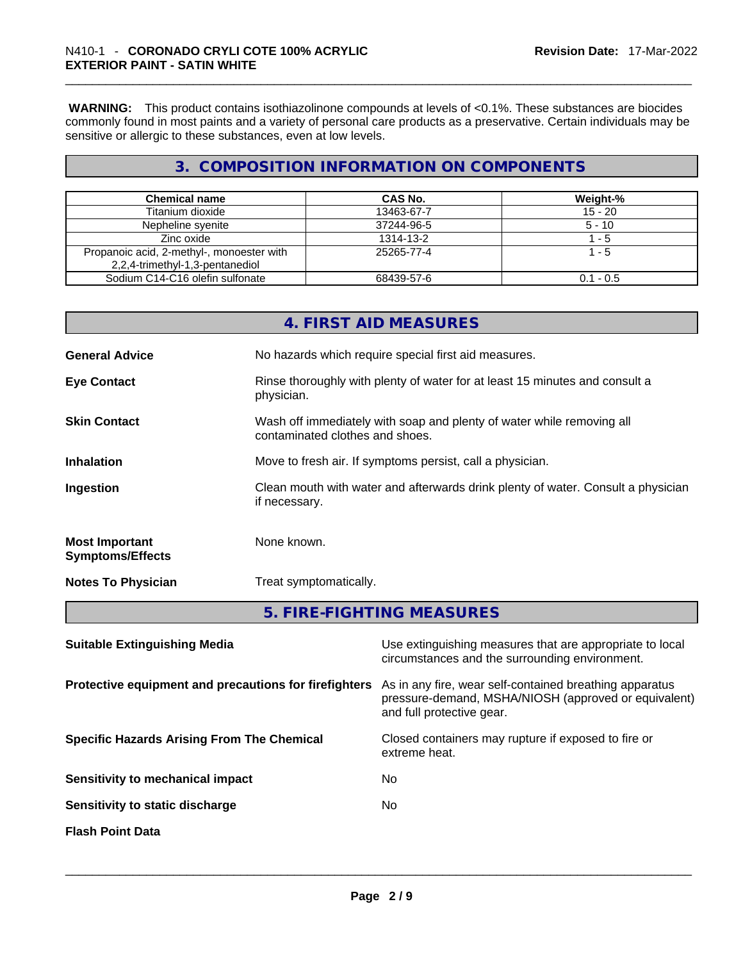**WARNING:** This product contains isothiazolinone compounds at levels of <0.1%. These substances are biocides commonly found in most paints and a variety of personal care products as a preservative. Certain individuals may be sensitive or allergic to these substances, even at low levels.

## **3. COMPOSITION INFORMATION ON COMPONENTS**

| <b>Chemical name</b>                      | CAS No.    | Weight-%    |
|-------------------------------------------|------------|-------------|
| Titanium dioxide                          | 13463-67-7 | $15 - 20$   |
| Nepheline syenite                         | 37244-96-5 | $5 - 10$    |
| Zinc oxide                                | 1314-13-2  | $1 - 5$     |
| Propanoic acid, 2-methyl-, monoester with | 25265-77-4 | 1 - 5       |
| 2,2,4-trimethyl-1,3-pentanediol           |            |             |
| Sodium C14-C16 olefin sulfonate           | 68439-57-6 | $0.1 - 0.5$ |

|                                                  | 4. FIRST AID MEASURES                                                                                    |
|--------------------------------------------------|----------------------------------------------------------------------------------------------------------|
| <b>General Advice</b>                            | No hazards which require special first aid measures.                                                     |
| <b>Eye Contact</b>                               | Rinse thoroughly with plenty of water for at least 15 minutes and consult a<br>physician.                |
| <b>Skin Contact</b>                              | Wash off immediately with soap and plenty of water while removing all<br>contaminated clothes and shoes. |
| <b>Inhalation</b>                                | Move to fresh air. If symptoms persist, call a physician.                                                |
| Ingestion                                        | Clean mouth with water and afterwards drink plenty of water. Consult a physician<br>if necessary.        |
| <b>Most Important</b><br><b>Symptoms/Effects</b> | None known.                                                                                              |
| <b>Notes To Physician</b>                        | Treat symptomatically.                                                                                   |
|                                                  | 5. FIRE-FIGHTING MEASURES                                                                                |

| As in any fire, wear self-contained breathing apparatus<br>pressure-demand, MSHA/NIOSH (approved or equivalent)<br>and full protective gear.<br>Closed containers may rupture if exposed to fire or<br>extreme heat.<br>No.<br>No. | <b>Suitable Extinguishing Media</b>                   | Use extinguishing measures that are appropriate to local<br>circumstances and the surrounding environment. |
|------------------------------------------------------------------------------------------------------------------------------------------------------------------------------------------------------------------------------------|-------------------------------------------------------|------------------------------------------------------------------------------------------------------------|
|                                                                                                                                                                                                                                    | Protective equipment and precautions for firefighters |                                                                                                            |
|                                                                                                                                                                                                                                    | <b>Specific Hazards Arising From The Chemical</b>     |                                                                                                            |
|                                                                                                                                                                                                                                    | Sensitivity to mechanical impact                      |                                                                                                            |
|                                                                                                                                                                                                                                    | Sensitivity to static discharge                       |                                                                                                            |
|                                                                                                                                                                                                                                    | <b>Flash Point Data</b>                               |                                                                                                            |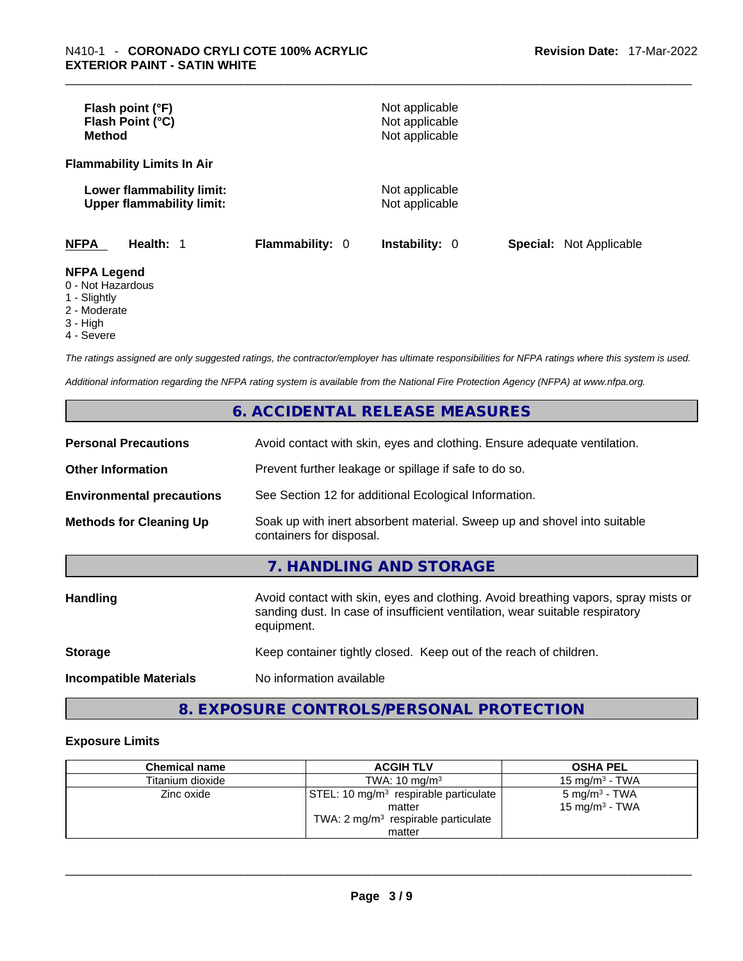| Flash point (°F)<br>Flash Point (°C)<br><b>Method</b>         |                        | Not applicable<br>Not applicable<br>Not applicable |                                |
|---------------------------------------------------------------|------------------------|----------------------------------------------------|--------------------------------|
| <b>Flammability Limits In Air</b>                             |                        |                                                    |                                |
| Lower flammability limit:<br><b>Upper flammability limit:</b> |                        | Not applicable<br>Not applicable                   |                                |
| <b>NFPA</b><br>Health: 1                                      | <b>Flammability: 0</b> | <b>Instability: 0</b>                              | <b>Special:</b> Not Applicable |
| <b>NFPA Legend</b><br>0 - Not Hazardous<br>1 - Slightly       |                        |                                                    |                                |

- 
- 2 Moderate
- 3 High
- 4 Severe

*The ratings assigned are only suggested ratings, the contractor/employer has ultimate responsibilities for NFPA ratings where this system is used.* 

*Additional information regarding the NFPA rating system is available from the National Fire Protection Agency (NFPA) at www.nfpa.org.* 

## **6. ACCIDENTAL RELEASE MEASURES**

| <b>Personal Precautions</b>      | Avoid contact with skin, eyes and clothing. Ensure adequate ventilation.                                                                                                         |  |
|----------------------------------|----------------------------------------------------------------------------------------------------------------------------------------------------------------------------------|--|
| <b>Other Information</b>         | Prevent further leakage or spillage if safe to do so.                                                                                                                            |  |
| <b>Environmental precautions</b> | See Section 12 for additional Ecological Information.                                                                                                                            |  |
| <b>Methods for Cleaning Up</b>   | Soak up with inert absorbent material. Sweep up and shovel into suitable<br>containers for disposal.                                                                             |  |
|                                  | 7. HANDLING AND STORAGE                                                                                                                                                          |  |
| <b>Handling</b>                  | Avoid contact with skin, eyes and clothing. Avoid breathing vapors, spray mists or<br>sanding dust. In case of insufficient ventilation, wear suitable respiratory<br>equipment. |  |
| <b>Storage</b>                   | Keep container tightly closed. Keep out of the reach of children.                                                                                                                |  |
| <b>Incompatible Materials</b>    | No information available                                                                                                                                                         |  |

## **8. EXPOSURE CONTROLS/PERSONAL PROTECTION**

#### **Exposure Limits**

| <b>Chemical name</b> | <b>ACGIH TLV</b>                                                                                                        | <b>OSHA PEL</b>                                         |
|----------------------|-------------------------------------------------------------------------------------------------------------------------|---------------------------------------------------------|
| Titanium dioxide     | TWA: $10 \text{ ma/m}^3$                                                                                                | 15 mg/m $3$ - TWA                                       |
| Zinc oxide           | STEL: 10 mg/m <sup>3</sup> respirable particulate<br>matter<br>TWA: $2 \text{ mg/m}^3$ respirable particulate<br>matter | 5 mg/m <sup>3</sup> - TWA<br>15 mg/m <sup>3</sup> - TWA |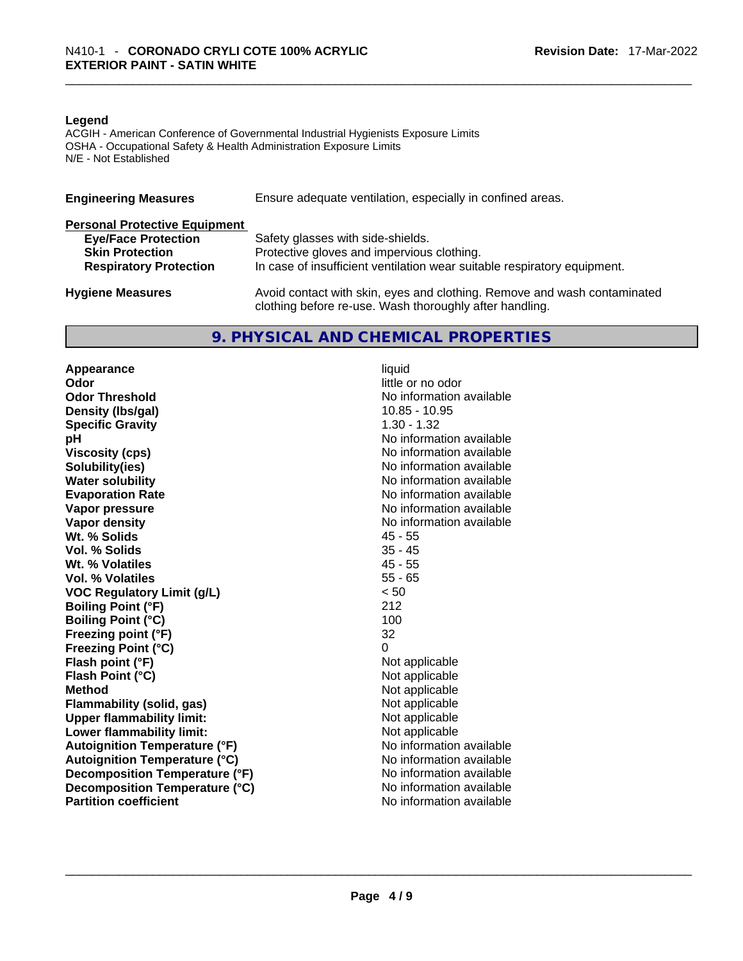#### **Legend**

ACGIH - American Conference of Governmental Industrial Hygienists Exposure Limits OSHA - Occupational Safety & Health Administration Exposure Limits N/E - Not Established

| Ensure adequate ventilation, especially in confined areas.<br><b>Engineering Measures</b> |                                                                                                                                     |  |
|-------------------------------------------------------------------------------------------|-------------------------------------------------------------------------------------------------------------------------------------|--|
| <b>Personal Protective Equipment</b>                                                      |                                                                                                                                     |  |
| <b>Eye/Face Protection</b>                                                                | Safety glasses with side-shields.                                                                                                   |  |
| <b>Skin Protection</b>                                                                    | Protective gloves and impervious clothing.                                                                                          |  |
| <b>Respiratory Protection</b>                                                             | In case of insufficient ventilation wear suitable respiratory equipment.                                                            |  |
| <b>Hygiene Measures</b>                                                                   | Avoid contact with skin, eyes and clothing. Remove and wash contaminated<br>clothing before re-use. Wash thoroughly after handling. |  |

## **9. PHYSICAL AND CHEMICAL PROPERTIES**

**Appearance** liquid **Odor** little or no odor **Odor Threshold No information available** No information available **Density** (Ibs/gal) 10.85 - 10.95 **Specific Gravity** 1.30 - 1.32 **pH bH** *pH* **Viscosity (cps) Viscosity (cps) No information available Solubility(ies)**<br> **Solubility**<br> **Water solubility**<br> **Water solubility Evaporation Rate No information available No information available Vapor pressure**  No information available **Vapor pressure No information available Vapor density No information available No information available Wt. % Solids** 45 - 55 **Vol. % Solids Wt. % Volatiles** 45 - 55 **Vol. % Volatiles** 55 - 65 **VOC Regulatory Limit (g/L)** < 50 **Boiling Point (°F)** 212 **Boiling Point (°C) Freezing point (°F)** 32 **Freezing Point (°C)** 0 **Flash point (°F)** Not applicable **Flash Point (°C)** Not applicable **Method**<br> **Plammability (solid, gas)**<br> **Not applicable**<br>
Not applicable **Flammability** (solid, gas) **Upper flammability limit:** Not applicable **Lower flammability limit:** Not applicable **Autoignition Temperature (°F)** No information available **Autoignition Temperature (°C)**<br> **Decomposition Temperature (°F)** No information available **Decomposition Temperature (°F) Decomposition Temperature (°C)** No information available **Partition coefficient**No information available \_\_\_\_\_\_\_\_\_\_\_\_\_\_\_\_\_\_\_\_\_\_\_\_\_\_\_\_\_\_\_\_\_\_\_\_\_\_\_\_\_\_\_\_\_\_\_\_\_\_\_\_\_\_\_\_\_\_\_\_\_\_\_\_\_\_\_\_\_\_\_\_\_\_\_\_\_\_\_\_\_\_\_\_\_\_\_\_\_\_\_\_\_

**No information available**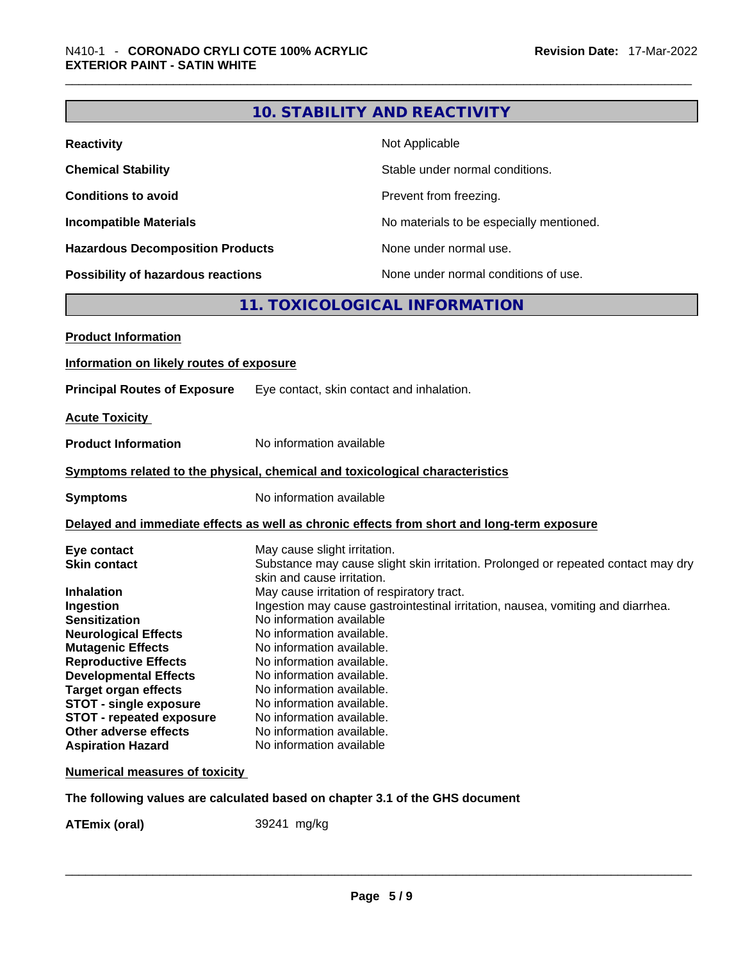|                                                                                                                                                                                                                                                                                                                                          | <b>10. STABILITY AND REACTIVITY</b>                                                                                                                                                                                                                                                                                                                                                                                           |  |  |
|------------------------------------------------------------------------------------------------------------------------------------------------------------------------------------------------------------------------------------------------------------------------------------------------------------------------------------------|-------------------------------------------------------------------------------------------------------------------------------------------------------------------------------------------------------------------------------------------------------------------------------------------------------------------------------------------------------------------------------------------------------------------------------|--|--|
| <b>Reactivity</b>                                                                                                                                                                                                                                                                                                                        | Not Applicable                                                                                                                                                                                                                                                                                                                                                                                                                |  |  |
| <b>Chemical Stability</b>                                                                                                                                                                                                                                                                                                                | Stable under normal conditions.                                                                                                                                                                                                                                                                                                                                                                                               |  |  |
| <b>Conditions to avoid</b>                                                                                                                                                                                                                                                                                                               | Prevent from freezing.                                                                                                                                                                                                                                                                                                                                                                                                        |  |  |
| <b>Incompatible Materials</b>                                                                                                                                                                                                                                                                                                            | No materials to be especially mentioned.                                                                                                                                                                                                                                                                                                                                                                                      |  |  |
| <b>Hazardous Decomposition Products</b>                                                                                                                                                                                                                                                                                                  | None under normal use.                                                                                                                                                                                                                                                                                                                                                                                                        |  |  |
| <b>Possibility of hazardous reactions</b>                                                                                                                                                                                                                                                                                                | None under normal conditions of use.                                                                                                                                                                                                                                                                                                                                                                                          |  |  |
|                                                                                                                                                                                                                                                                                                                                          | 11. TOXICOLOGICAL INFORMATION                                                                                                                                                                                                                                                                                                                                                                                                 |  |  |
| <b>Product Information</b>                                                                                                                                                                                                                                                                                                               |                                                                                                                                                                                                                                                                                                                                                                                                                               |  |  |
| Information on likely routes of exposure                                                                                                                                                                                                                                                                                                 |                                                                                                                                                                                                                                                                                                                                                                                                                               |  |  |
|                                                                                                                                                                                                                                                                                                                                          |                                                                                                                                                                                                                                                                                                                                                                                                                               |  |  |
| <b>Principal Routes of Exposure</b>                                                                                                                                                                                                                                                                                                      | Eye contact, skin contact and inhalation.                                                                                                                                                                                                                                                                                                                                                                                     |  |  |
| <b>Acute Toxicity</b>                                                                                                                                                                                                                                                                                                                    |                                                                                                                                                                                                                                                                                                                                                                                                                               |  |  |
| <b>Product Information</b>                                                                                                                                                                                                                                                                                                               | No information available                                                                                                                                                                                                                                                                                                                                                                                                      |  |  |
|                                                                                                                                                                                                                                                                                                                                          | Symptoms related to the physical, chemical and toxicological characteristics                                                                                                                                                                                                                                                                                                                                                  |  |  |
| <b>Symptoms</b>                                                                                                                                                                                                                                                                                                                          | No information available                                                                                                                                                                                                                                                                                                                                                                                                      |  |  |
|                                                                                                                                                                                                                                                                                                                                          | Delayed and immediate effects as well as chronic effects from short and long-term exposure                                                                                                                                                                                                                                                                                                                                    |  |  |
| Eye contact<br><b>Skin contact</b>                                                                                                                                                                                                                                                                                                       | May cause slight irritation.<br>Substance may cause slight skin irritation. Prolonged or repeated contact may dry<br>skin and cause irritation.                                                                                                                                                                                                                                                                               |  |  |
| <b>Inhalation</b><br>Ingestion<br><b>Sensitization</b><br><b>Neurological Effects</b><br><b>Mutagenic Effects</b><br><b>Reproductive Effects</b><br><b>Developmental Effects</b><br><b>Target organ effects</b><br><b>STOT - single exposure</b><br><b>STOT - repeated exposure</b><br>Other adverse effects<br><b>Aspiration Hazard</b> | May cause irritation of respiratory tract.<br>Ingestion may cause gastrointestinal irritation, nausea, vomiting and diarrhea.<br>No information available<br>No information available.<br>No information available.<br>No information available.<br>No information available.<br>No information available.<br>No information available.<br>No information available.<br>No information available.<br>No information available |  |  |
| <b>Numerical measures of toxicity</b>                                                                                                                                                                                                                                                                                                    |                                                                                                                                                                                                                                                                                                                                                                                                                               |  |  |
|                                                                                                                                                                                                                                                                                                                                          | The following values are calculated based on chapter 3.1 of the GHS document                                                                                                                                                                                                                                                                                                                                                  |  |  |

**ATEmix (oral)** 39241 mg/kg \_\_\_\_\_\_\_\_\_\_\_\_\_\_\_\_\_\_\_\_\_\_\_\_\_\_\_\_\_\_\_\_\_\_\_\_\_\_\_\_\_\_\_\_\_\_\_\_\_\_\_\_\_\_\_\_\_\_\_\_\_\_\_\_\_\_\_\_\_\_\_\_\_\_\_\_\_\_\_\_\_\_\_\_\_\_\_\_\_\_\_\_\_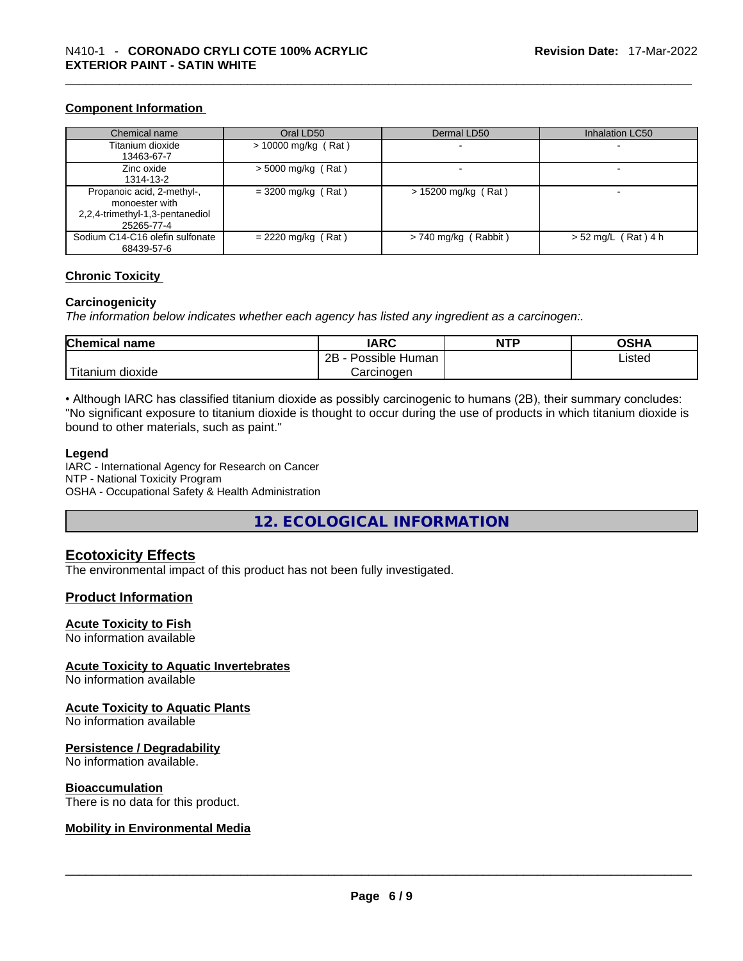#### **Component Information**

| Chemical name                   | Oral LD50             | Dermal LD50              | Inhalation LC50       |
|---------------------------------|-----------------------|--------------------------|-----------------------|
| Titanium dioxide                | $> 10000$ mg/kg (Rat) |                          | -                     |
| 13463-67-7                      |                       |                          |                       |
| Zinc oxide                      | $>$ 5000 mg/kg (Rat)  | $\overline{\phantom{0}}$ | -                     |
| 1314-13-2                       |                       |                          |                       |
| Propanoic acid, 2-methyl-,      | $= 3200$ mg/kg (Rat)  | $> 15200$ mg/kg (Rat)    |                       |
| monoester with                  |                       |                          |                       |
| 2,2,4-trimethyl-1,3-pentanediol |                       |                          |                       |
| 25265-77-4                      |                       |                          |                       |
| Sodium C14-C16 olefin sulfonate | $= 2220$ mg/kg (Rat)  | $> 740$ mg/kg (Rabbit)   | $> 52$ mg/L (Rat) 4 h |
| 68439-57-6                      |                       |                          |                       |

#### **Chronic Toxicity**

#### **Carcinogenicity**

*The information below indicates whether each agency has listed any ingredient as a carcinogen:.* 

| <b>Chemical name</b>       | <b>IARC</b>          | <b>NTP</b> | OSHA   |
|----------------------------|----------------------|------------|--------|
|                            | 2Β<br>Possible Human |            | Listed |
| $-1$<br>dioxide<br>itanium | Carcinogen           |            |        |

• Although IARC has classified titanium dioxide as possibly carcinogenic to humans (2B), their summary concludes: "No significant exposure to titanium dioxide is thought to occur during the use of products in which titanium dioxide is bound to other materials, such as paint."

#### **Legend**

IARC - International Agency for Research on Cancer NTP - National Toxicity Program OSHA - Occupational Safety & Health Administration

**12. ECOLOGICAL INFORMATION** 

#### **Ecotoxicity Effects**

The environmental impact of this product has not been fully investigated.

#### **Product Information**

#### **Acute Toxicity to Fish**

No information available

#### **Acute Toxicity to Aquatic Invertebrates**

No information available

#### **Acute Toxicity to Aquatic Plants**

No information available

#### **Persistence / Degradability**

No information available.

#### **Bioaccumulation**

# There is no data for this product. \_\_\_\_\_\_\_\_\_\_\_\_\_\_\_\_\_\_\_\_\_\_\_\_\_\_\_\_\_\_\_\_\_\_\_\_\_\_\_\_\_\_\_\_\_\_\_\_\_\_\_\_\_\_\_\_\_\_\_\_\_\_\_\_\_\_\_\_\_\_\_\_\_\_\_\_\_\_\_\_\_\_\_\_\_\_\_\_\_\_\_\_\_ **Mobility in Environmental Media**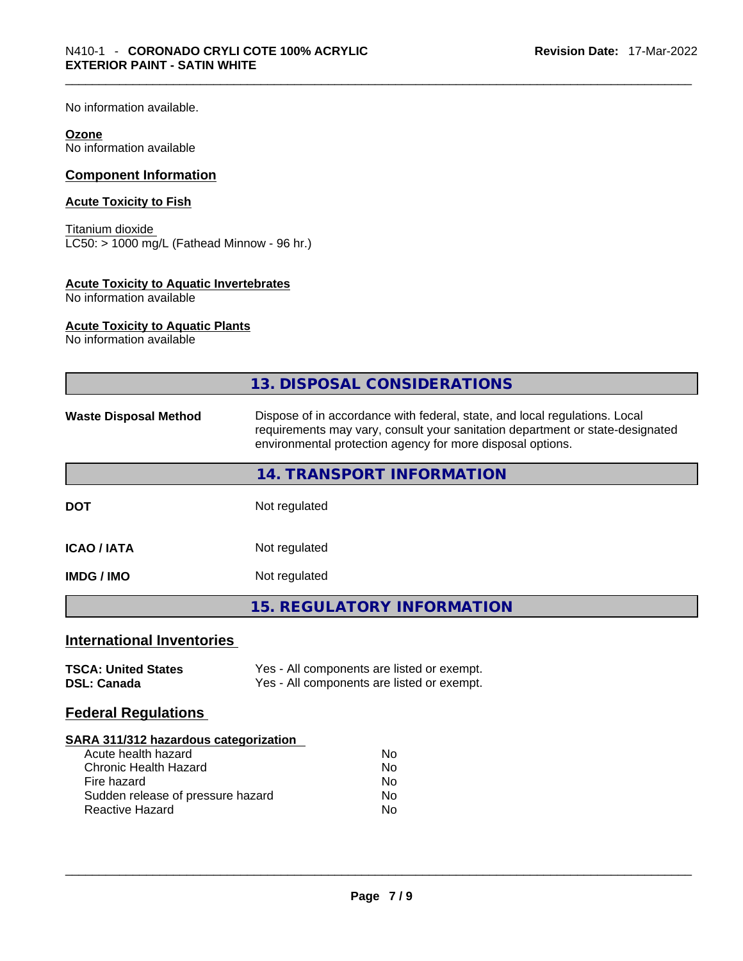No information available.

#### **Ozone**

No information available

### **Component Information**

#### **Acute Toxicity to Fish**

Titanium dioxide LC50: > 1000 mg/L (Fathead Minnow - 96 hr.)

#### **Acute Toxicity to Aquatic Invertebrates**

No information available

#### **Acute Toxicity to Aquatic Plants**

No information available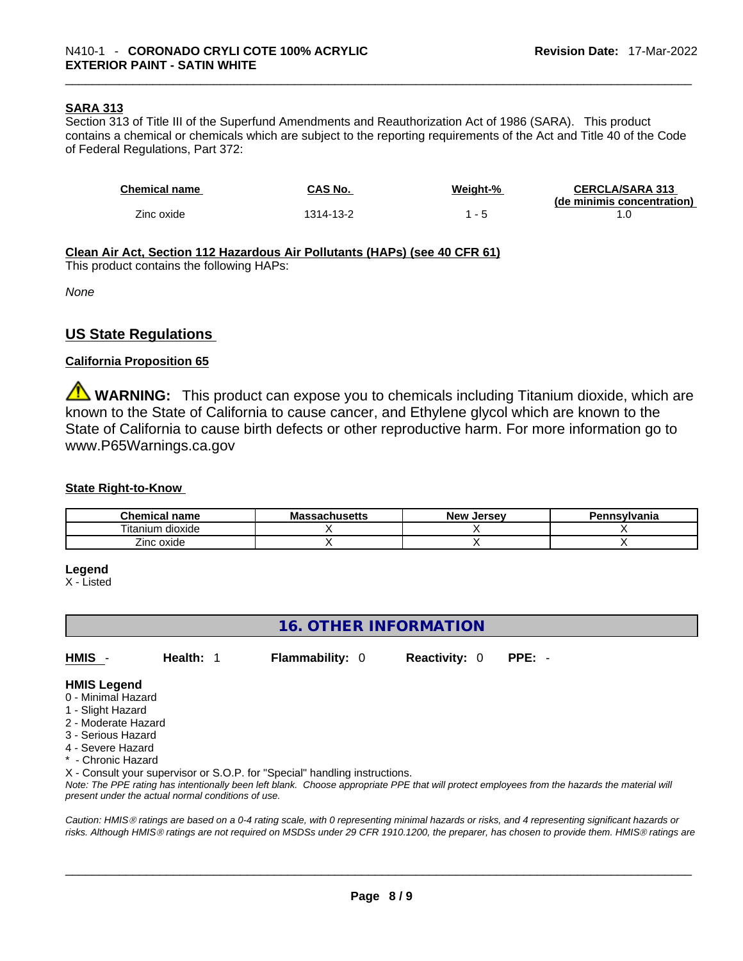#### **SARA 313**

Section 313 of Title III of the Superfund Amendments and Reauthorization Act of 1986 (SARA). This product contains a chemical or chemicals which are subject to the reporting requirements of the Act and Title 40 of the Code of Federal Regulations, Part 372:

| <b>Chemical name</b> | CAS No.   | Weight-% | <b>CERCLA/SARA 313</b><br>(de minimis concentration) |
|----------------------|-----------|----------|------------------------------------------------------|
| Zinc oxide           | 1314-13-2 |          |                                                      |

#### **Clean Air Act,Section 112 Hazardous Air Pollutants (HAPs) (see 40 CFR 61)**

This product contains the following HAPs:

*None*

## **US State Regulations**

#### **California Proposition 65**

**WARNING:** This product can expose you to chemicals including Titanium dioxide, which are known to the State of California to cause cancer, and Ethylene glycol which are known to the State of California to cause birth defects or other reproductive harm. For more information go to www.P65Warnings.ca.gov

#### **State Right-to-Know**

| <b>Chemical</b><br>name                          | лизепз | New<br>. Jersev | 'ennsvlvania |
|--------------------------------------------------|--------|-----------------|--------------|
| $\cdots$<br>$- \cdot$ .<br>litanium<br>ı dioxide |        |                 |              |
| –.<br>∠inc oxide                                 |        |                 |              |

#### **Legend**

X - Listed

## **16. OTHER INFORMATION**

**HMIS** - **Health:** 1 **Flammability:** 0 **Reactivity:** 0 **PPE:** -

#### **HMIS Legend**

- 0 Minimal Hazard
- 1 Slight Hazard
- 2 Moderate Hazard
- 3 Serious Hazard
- 4 Severe Hazard
- \* Chronic Hazard

X - Consult your supervisor or S.O.P. for "Special" handling instructions.

Note: The PPE rating has intentionally been left blank. Choose appropriate PPE that will protect employees from the hazards the material will *present under the actual normal conditions of use.* 

*Caution: HMISÒ ratings are based on a 0-4 rating scale, with 0 representing minimal hazards or risks, and 4 representing significant hazards or risks. Although HMISÒ ratings are not required on MSDSs under 29 CFR 1910.1200, the preparer, has chosen to provide them. HMISÒ ratings are*